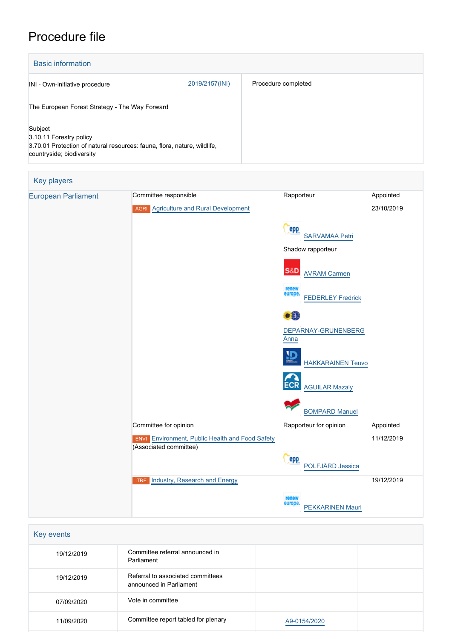## Procedure file

| <b>Basic information</b>                                                                                                                    |                |                     |
|---------------------------------------------------------------------------------------------------------------------------------------------|----------------|---------------------|
| INI - Own-initiative procedure                                                                                                              | 2019/2157(INI) | Procedure completed |
| The European Forest Strategy - The Way Forward                                                                                              |                |                     |
| Subject<br>3.10.11 Forestry policy<br>3.70.01 Protection of natural resources: fauna, flora, nature, wildlife,<br>countryside; biodiversity |                |                     |

| <b>Key players</b>         |                                                                                  |                                              |            |
|----------------------------|----------------------------------------------------------------------------------|----------------------------------------------|------------|
| <b>European Parliament</b> | Committee responsible                                                            | Rapporteur                                   | Appointed  |
|                            | <b>AGRI</b> Agriculture and Rural Development                                    |                                              | 23/10/2019 |
|                            |                                                                                  | epp<br><b>SARVAMAA Petri</b>                 |            |
|                            |                                                                                  | Shadow rapporteur                            |            |
|                            |                                                                                  | <b>S&amp;D</b><br><b>AVRAM Carmen</b>        |            |
|                            |                                                                                  | renew<br>europe.<br><b>FEDERLEY Fredrick</b> |            |
|                            |                                                                                  | $\bullet$ .<br>DEPARNAY-GRUNENBERG<br>Anna   |            |
|                            |                                                                                  | $\mathbf{D}$<br><b>HAKKARAINEN Teuvo</b>     |            |
|                            |                                                                                  | <b>AGUILAR Mazaly</b>                        |            |
|                            |                                                                                  | <b>BOMPARD Manuel</b>                        |            |
|                            | Committee for opinion                                                            | Rapporteur for opinion                       | Appointed  |
|                            | <b>ENVI</b> Environment, Public Health and Food Safety<br>(Associated committee) |                                              | 11/12/2019 |
|                            |                                                                                  | <b>PPP</b><br>POLFJÄRD Jessica               |            |
|                            | Industry, Research and Energy<br><b>ITRE</b>                                     |                                              | 19/12/2019 |
|                            |                                                                                  | renew<br>europe<br><b>PEKKARINEN Mauri</b>   |            |

| Key events |                                                              |              |  |  |
|------------|--------------------------------------------------------------|--------------|--|--|
| 19/12/2019 | Committee referral announced in<br>Parliament                |              |  |  |
| 19/12/2019 | Referral to associated committees<br>announced in Parliament |              |  |  |
| 07/09/2020 | Vote in committee                                            |              |  |  |
| 11/09/2020 | Committee report tabled for plenary                          | A9-0154/2020 |  |  |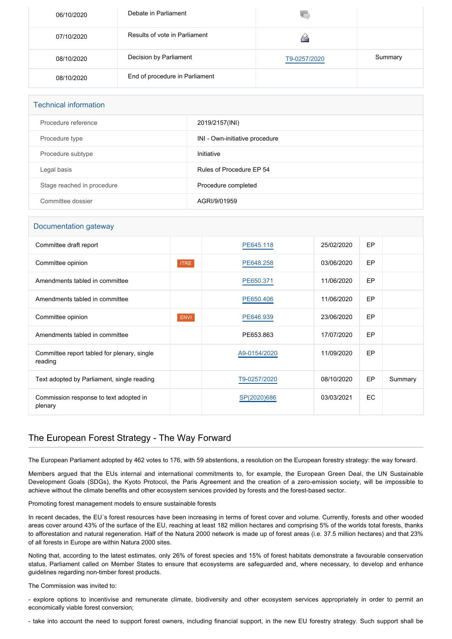| 06/10/2020 | Debate in Parliament           |              |         |
|------------|--------------------------------|--------------|---------|
| 07/10/2020 | Results of vote in Parliament  |              |         |
| 08/10/2020 | Decision by Parliament         | T9-0257/2020 | Summary |
| 08/10/2020 | End of procedure in Parliament |              |         |

# Technical information

| Procedure reference        | 2019/2157(INI)                 |
|----------------------------|--------------------------------|
| Procedure type             | INI - Own-initiative procedure |
| Procedure subtype          | Initiative                     |
| Legal basis                | Rules of Procedure EP 54       |
| Stage reached in procedure | Procedure completed            |
| Committee dossier          | AGRI/9/01959                   |

## Documentation gateway

| Committee draft report                                 |             | PE645.118    | 25/02/2020 | EP        |         |
|--------------------------------------------------------|-------------|--------------|------------|-----------|---------|
| Committee opinion                                      | <b>ITRE</b> | PE648.258    | 03/06/2020 | <b>EP</b> |         |
| Amendments tabled in committee                         |             | PE650.371    | 11/06/2020 | EP        |         |
| Amendments tabled in committee                         |             | PE650.406    | 11/06/2020 | EP        |         |
| Committee opinion                                      | <b>ENVI</b> | PE646.939    | 23/06/2020 | EP        |         |
| Amendments tabled in committee                         |             | PE653.863    | 17/07/2020 | EP        |         |
| Committee report tabled for plenary, single<br>reading |             | A9-0154/2020 | 11/09/2020 | EP        |         |
| Text adopted by Parliament, single reading             |             | T9-0257/2020 | 08/10/2020 | EP        | Summary |
| Commission response to text adopted in<br>plenary      |             | SP(2020)686  | 03/03/2021 | EC        |         |

## The European Forest Strategy - The Way Forward

The European Parliament adopted by 462 votes to 176, with 59 abstentions, a resolution on the European forestry strategy: the way forward.

Members argued that the EUs internal and international commitments to, for example, the European Green Deal, the UN Sustainable Development Goals (SDGs), the Kyoto Protocol, the Paris Agreement and the creation of a zero-emission society, will be impossible to achieve without the climate benefits and other ecosystem services provided by forests and the forest-based sector.

Promoting forest management models to ensure sustainable forests

In recent decades, the EU´s forest resources have been increasing in terms of forest cover and volume. Currently, forests and other wooded areas cover around 43% of the surface of the EU, reaching at least 182 million hectares and comprising 5% of the worlds total forests, thanks to afforestation and natural regeneration. Half of the Natura 2000 network is made up of forest areas (i.e. 37.5 million hectares) and that 23% of all forests in Europe are within Natura 2000 sites.

Noting that, according to the latest estimates, only 26% of forest species and 15% of forest habitats demonstrate a favourable conservation status, Parliament called on Member States to ensure that ecosystems are safeguarded and, where necessary, to develop and enhance guidelines regarding non-timber forest products.

The Commission was invited to:

- explore options to incentivise and remunerate climate, biodiversity and other ecosystem services appropriately in order to permit an economically viable forest conversion;

- take into account the need to support forest owners, including financial support, in the new EU forestry strategy. Such support shall be